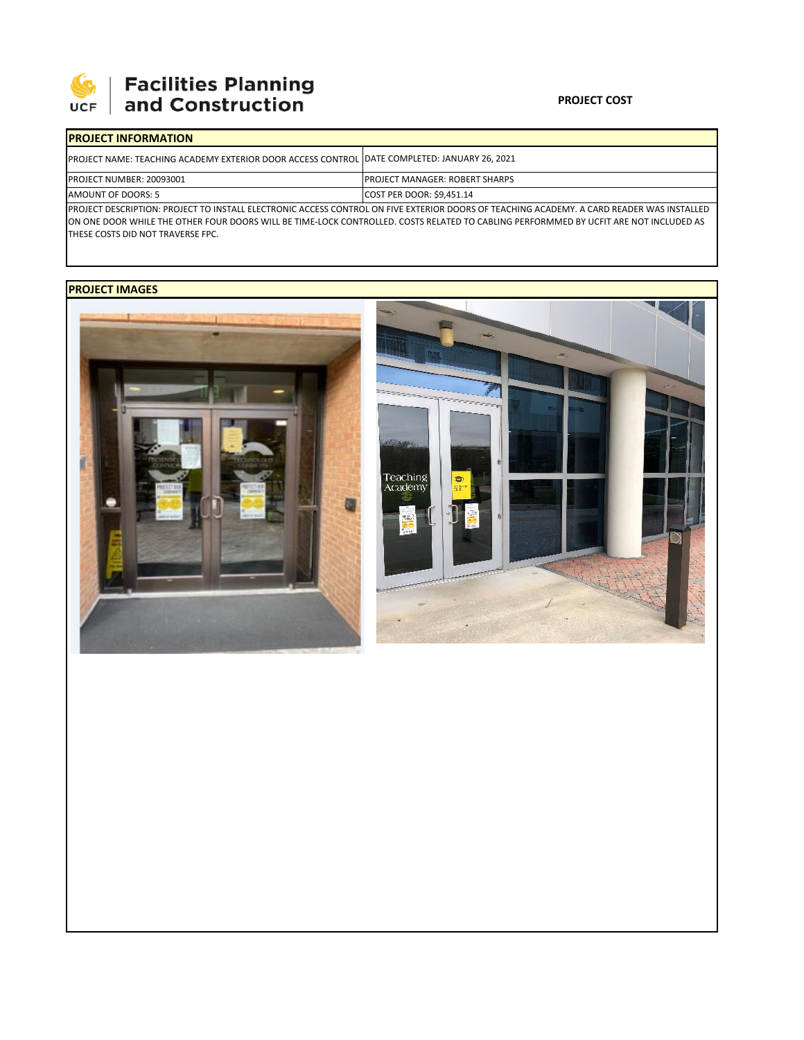

## **Facilities Planning**<br>and Construction

| <b>IPROJECT INFORMATION</b>                                                                          |                                                                                                                                              |  |  |  |  |
|------------------------------------------------------------------------------------------------------|----------------------------------------------------------------------------------------------------------------------------------------------|--|--|--|--|
| <b>IPROJECT NAME: TEACHING ACADEMY EXTERIOR DOOR ACCESS CONTROL DATE COMPLETED: JANUARY 26, 2021</b> |                                                                                                                                              |  |  |  |  |
| <b>PROJECT NUMBER: 20093001</b>                                                                      | <b>IPROJECT MANAGER: ROBERT SHARPS</b>                                                                                                       |  |  |  |  |
| AMOUNT OF DOORS: 5                                                                                   | COST PER DOOR: \$9,451.14                                                                                                                    |  |  |  |  |
|                                                                                                      | IBROIECT BECCRIPTION, BROIECT TO INCTALL ELECTRONIC ACCECE CONTROL ON FIVE EVTERIOR BOORE OF TEACURAL ACABEMAY, A CARD BEABER WAS INCTALLED. |  |  |  |  |

PROJECT DESCRIPTION: PROJECT TO INSTALL ELECTRONIC ACCESS CONTROL ON FIVE EXTERIOR DOORS OF TEACHING ACADEMY. A CARD READER WAS INSTALLED ON ONE DOOR WHILE THE OTHER FOUR DOORS WILL BE TIME‐LOCK CONTROLLED. COSTS RELATED TO CABLING PERFORMMED BY UCFIT ARE NOT INCLUDED AS THESE COSTS DID NOT TRAVERSE FPC.

## **PROJECT IMAGES**